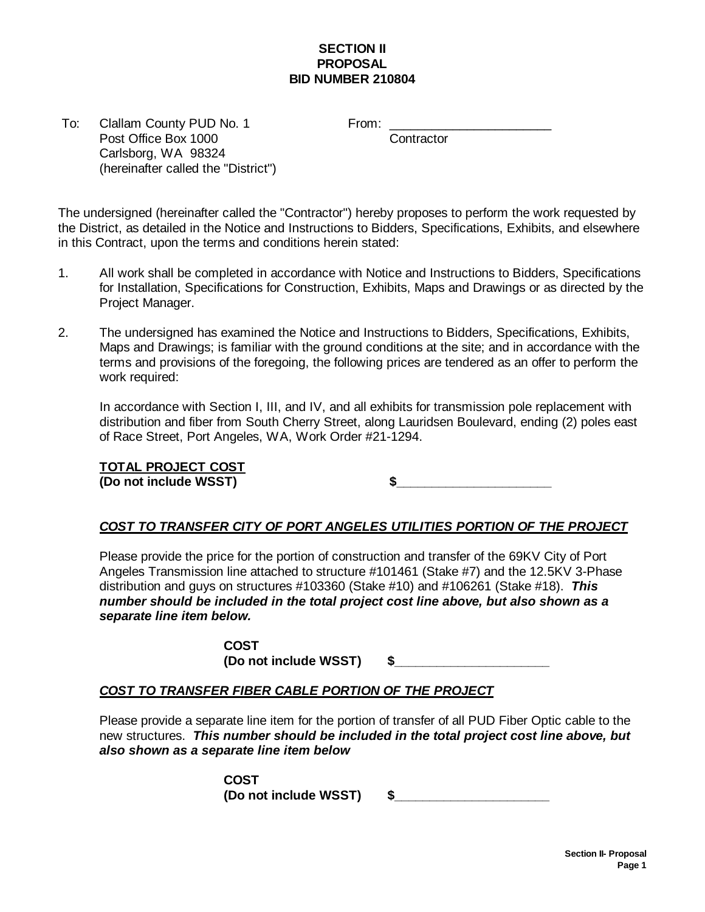## **SECTION II PROPOSAL BID NUMBER 210804**

To: Clallam County PUD No. 1 From: Post Office Box 1000 Contractor Carlsborg, WA 98324 (hereinafter called the "District")

The undersigned (hereinafter called the "Contractor") hereby proposes to perform the work requested by the District, as detailed in the Notice and Instructions to Bidders, Specifications, Exhibits, and elsewhere in this Contract, upon the terms and conditions herein stated:

- 1. All work shall be completed in accordance with Notice and Instructions to Bidders, Specifications for Installation, Specifications for Construction, Exhibits, Maps and Drawings or as directed by the Project Manager.
- 2. The undersigned has examined the Notice and Instructions to Bidders, Specifications, Exhibits, Maps and Drawings; is familiar with the ground conditions at the site; and in accordance with the terms and provisions of the foregoing, the following prices are tendered as an offer to perform the work required:

In accordance with Section I, III, and IV, and all exhibits for transmission pole replacement with distribution and fiber from South Cherry Street, along Lauridsen Boulevard, ending (2) poles east of Race Street, Port Angeles, WA, Work Order #21-1294.

## **TOTAL PROJECT COST**

**(Do not include WSST) \$\_\_\_\_\_\_\_\_\_\_\_\_\_\_\_\_\_\_\_\_\_\_**

## *COST TO TRANSFER CITY OF PORT ANGELES UTILITIES PORTION OF THE PROJECT*

Please provide the price for the portion of construction and transfer of the 69KV City of Port Angeles Transmission line attached to structure #101461 (Stake #7) and the 12.5KV 3-Phase distribution and guys on structures #103360 (Stake #10) and #106261 (Stake #18). *This number should be included in the total project cost line above, but also shown as a separate line item below.*

> **COST (Do not include WSST) \$\_\_\_\_\_\_\_\_\_\_\_\_\_\_\_\_\_\_\_\_\_\_**

## *COST TO TRANSFER FIBER CABLE PORTION OF THE PROJECT*

Please provide a separate line item for the portion of transfer of all PUD Fiber Optic cable to the new structures. *This number should be included in the total project cost line above, but also shown as a separate line item below*

> **COST (Do not include WSST) \$\_\_\_\_\_\_\_\_\_\_\_\_\_\_\_\_\_\_\_\_\_\_**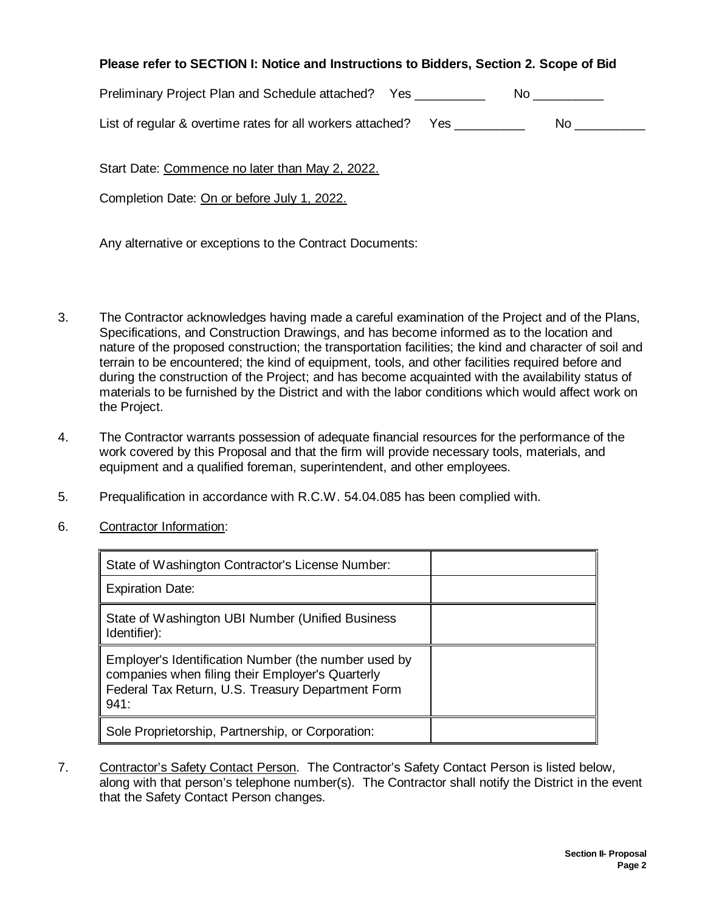| Please refer to SECTION I: Notice and Instructions to Bidders, Section 2. Scope of Bid |  |  |  |  |  |  |  |  |
|----------------------------------------------------------------------------------------|--|--|--|--|--|--|--|--|
|----------------------------------------------------------------------------------------|--|--|--|--|--|--|--|--|

Preliminary Project Plan and Schedule attached? Yes \_\_\_\_\_\_\_\_\_\_\_\_ No \_\_\_\_\_\_\_\_

| List of regular & overtime rates for all workers attached? | No |  |
|------------------------------------------------------------|----|--|
|                                                            |    |  |

Start Date: Commence no later than May 2, 2022.

Completion Date: On or before July 1, 2022.

Any alternative or exceptions to the Contract Documents:

- 3. The Contractor acknowledges having made a careful examination of the Project and of the Plans, Specifications, and Construction Drawings, and has become informed as to the location and nature of the proposed construction; the transportation facilities; the kind and character of soil and terrain to be encountered; the kind of equipment, tools, and other facilities required before and during the construction of the Project; and has become acquainted with the availability status of materials to be furnished by the District and with the labor conditions which would affect work on the Project.
- 4. The Contractor warrants possession of adequate financial resources for the performance of the work covered by this Proposal and that the firm will provide necessary tools, materials, and equipment and a qualified foreman, superintendent, and other employees.
- 5. Prequalification in accordance with R.C.W. 54.04.085 has been complied with.
- 6. Contractor Information:

| State of Washington Contractor's License Number:                                                                                                                      |  |
|-----------------------------------------------------------------------------------------------------------------------------------------------------------------------|--|
| Expiration Date:                                                                                                                                                      |  |
| State of Washington UBI Number (Unified Business<br>Identifier):                                                                                                      |  |
| Employer's Identification Number (the number used by<br>companies when filing their Employer's Quarterly<br>Federal Tax Return, U.S. Treasury Department Form<br>941: |  |
| Sole Proprietorship, Partnership, or Corporation:                                                                                                                     |  |

7. Contractor's Safety Contact Person. The Contractor's Safety Contact Person is listed below, along with that person's telephone number(s). The Contractor shall notify the District in the event that the Safety Contact Person changes.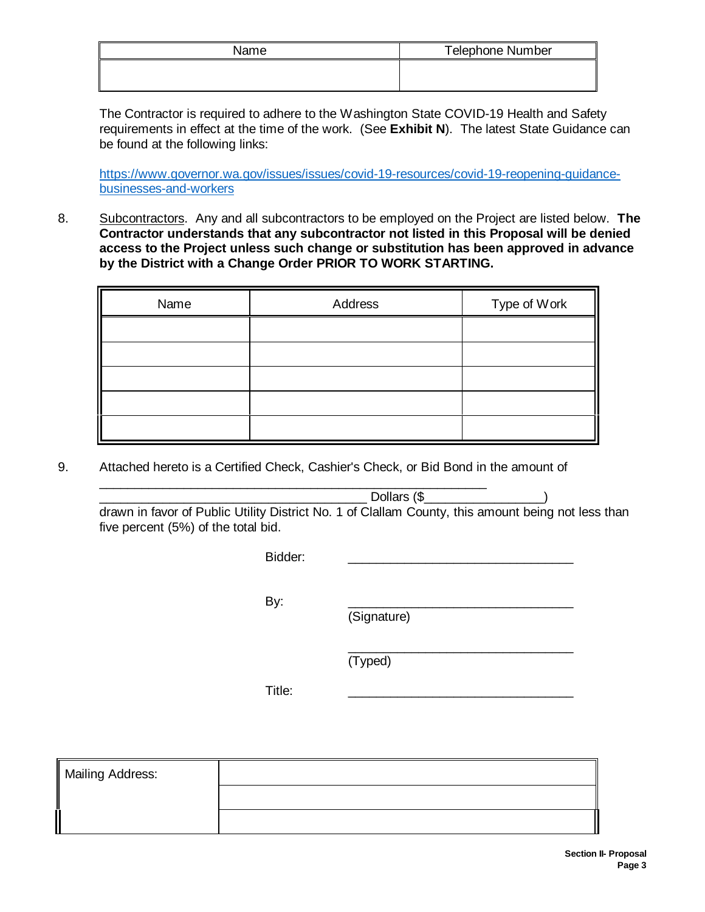| Name | <b>Telephone Number</b> |
|------|-------------------------|
|      |                         |
|      |                         |

The Contractor is required to adhere to the Washington State COVID-19 Health and Safety requirements in effect at the time of the work. (See **Exhibit N**). The latest State Guidance can be found at the following links:

[https://www.governor.wa.gov/issues/issues/covid-19-resources/covid-19-reopening-guidance](https://www.governor.wa.gov/issues/issues/covid-19-resources/covid-19-reopening-guidance-businesses-and-workers)[businesses-and-workers](https://www.governor.wa.gov/issues/issues/covid-19-resources/covid-19-reopening-guidance-businesses-and-workers)

8. Subcontractors. Any and all subcontractors to be employed on the Project are listed below. **The Contractor understands that any subcontractor not listed in this Proposal will be denied access to the Project unless such change or substitution has been approved in advance by the District with a Change Order PRIOR TO WORK STARTING.**

| Name | Address | Type of Work |
|------|---------|--------------|
|      |         |              |
|      |         |              |
|      |         |              |
|      |         |              |
|      |         |              |

9. Attached hereto is a Certified Check, Cashier's Check, or Bid Bond in the amount of

\_\_\_\_\_\_\_\_\_\_\_\_\_\_\_\_\_\_\_\_\_\_\_\_\_\_\_\_\_\_\_\_\_\_\_\_\_\_\_\_\_\_\_\_\_\_\_\_\_\_\_\_\_\_\_

 $\text{Dollars (}\$ drawn in favor of Public Utility District No. 1 of Clallam County, this amount being not less than five percent (5%) of the total bid.

Bidder: \_\_\_\_\_\_\_\_\_\_\_\_\_\_\_\_\_\_\_\_\_\_\_\_\_\_\_\_\_\_\_\_

By: \_\_\_\_\_\_\_\_\_\_\_\_\_\_\_\_\_\_\_\_\_\_\_\_\_\_\_\_\_\_\_\_

(Signature)

 $\overline{\phantom{a}}$  , where  $\overline{\phantom{a}}$  , where  $\overline{\phantom{a}}$  , where  $\overline{\phantom{a}}$ 

(Typed)

Title: \_\_\_\_\_\_\_\_\_\_\_\_\_\_\_\_\_\_\_\_\_\_\_\_\_\_\_\_\_\_\_\_

| <b>Mailing Address:</b> |  |
|-------------------------|--|
|                         |  |
|                         |  |